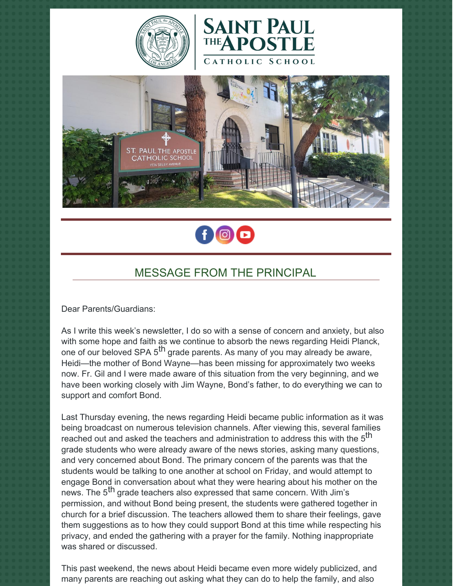







# MESSAGE FROM THE PRINCIPAL

Dear Parents/Guardians:

As I write this week's newsletter, I do so with a sense of concern and anxiety, but also with some hope and faith as we continue to absorb the news regarding Heidi Planck, one of our beloved SPA 5<sup>th</sup> grade parents. As many of you may already be aware, Heidi—the mother of Bond Wayne—has been missing for approximately two weeks now. Fr. Gil and I were made aware of this situation from the very beginning, and we have been working closely with Jim Wayne, Bond's father, to do everything we can to support and comfort Bond.

Last Thursday evening, the news regarding Heidi became public information as it was being broadcast on numerous television channels. After viewing this, several families reached out and asked the teachers and administration to address this with the  $5^{\text{th}}$ grade students who were already aware of the news stories, asking many questions, and very concerned about Bond. The primary concern of the parents was that the students would be talking to one another at school on Friday, and would attempt to engage Bond in conversation about what they were hearing about his mother on the news. The 5<sup>th</sup> grade teachers also expressed that same concern. With Jim's permission, and without Bond being present, the students were gathered together in church for a brief discussion. The teachers allowed them to share their feelings, gave them suggestions as to how they could support Bond at this time while respecting his privacy, and ended the gathering with a prayer for the family. Nothing inappropriate was shared or discussed.

This past weekend, the news about Heidi became even more widely publicized, and many parents are reaching out asking what they can do to help the family, and also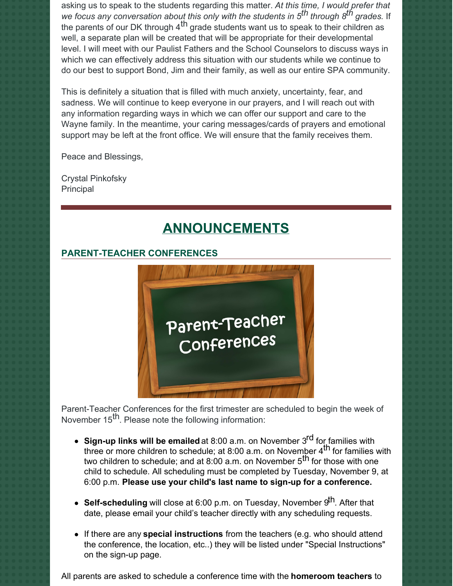asking us to speak to the students regarding this matter. *At this time, I would prefer that we focus any conversation about this only with the students in 5 th through 8 th grades.* If the parents of our DK through 4<sup>th</sup> grade students want us to speak to their children as well, a separate plan will be created that will be appropriate for their developmental level. I will meet with our Paulist Fathers and the School Counselors to discuss ways in which we can effectively address this situation with our students while we continue to do our best to support Bond, Jim and their family, as well as our entire SPA community.

This is definitely a situation that is filled with much anxiety, uncertainty, fear, and sadness. We will continue to keep everyone in our prayers, and I will reach out with any information regarding ways in which we can offer our support and care to the Wayne family. In the meantime, your caring messages/cards of prayers and emotional support may be left at the front office. We will ensure that the family receives them.

Peace and Blessings,

Crystal Pinkofsky Principal

# **ANNOUNCEMENTS**

## **PARENT-TEACHER CONFERENCES**



Parent-Teacher Conferences for the first trimester are scheduled to begin the week of November 15<sup>th</sup>. Please note the following information:

- **Sign-up links will be emailed** at 8:00 a.m. on November 3 rd for families with three or more children to schedule; at 8:00 a.m. on November 4<sup>th</sup> for families with two children to schedule; and at  $8.00$  a.m. on November  $5^{\text{th}}$  for those with one child to schedule. All scheduling must be completed by Tuesday, November 9, at 6:00 p.m. **Please use your child's last name to sign-up for a conference.**
- **Self-scheduling** will close at 6:00 p.m. on Tuesday, November 9<sup>th</sup>. After that date, please email your child's teacher directly with any scheduling requests.
- If there are any **special instructions** from the teachers (e.g. who should attend the conference, the location, etc..) they will be listed under "Special Instructions" on the sign-up page.

All parents are asked to schedule a conference time with the **homeroom teachers** to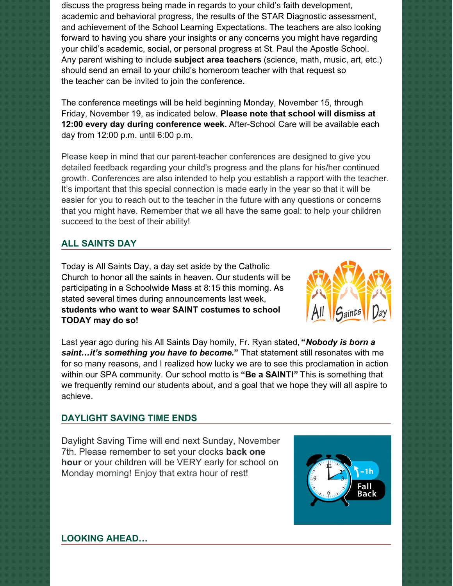discuss the progress being made in regards to your child's faith development, academic and behavioral progress, the results of the STAR Diagnostic assessment, and achievement of the School Learning Expectations. The teachers are also looking forward to having you share your insights or any concerns you might have regarding your child's academic, social, or personal progress at St. Paul the Apostle School. Any parent wishing to include **subject area teachers** (science, math, music, art, etc.) should send an email to your child's homeroom teacher with that request so the teacher can be invited to join the conference.

The conference meetings will be held beginning Monday, November 15, through Friday, November 19, as indicated below. **Please note that school will dismiss at 12:00 every day during conference week.** After-School Care will be available each day from 12:00 p.m. until 6:00 p.m.

Please keep in mind that our parent-teacher conferences are designed to give you detailed feedback regarding your child's progress and the plans for his/her continued growth. Conferences are also intended to help you establish a rapport with the teacher. It's important that this special connection is made early in the year so that it will be easier for you to reach out to the teacher in the future with any questions or concerns that you might have. Remember that we all have the same goal: to help your children succeed to the best of their ability!

# **ALL SAINTS DAY**

Today is All Saints Day, a day set aside by the Catholic Church to honor all the saints in heaven. Our students will be participating in a Schoolwide Mass at 8:15 this morning. As stated several times during announcements last week, **students who want to wear SAINT costumes to school TODAY may do so!**



Last year ago during his All Saints Day homily, Fr. Ryan stated, **"***Nobody is born a saint…it's something you have to become.***"** That statement still resonates with me for so many reasons, and I realized how lucky we are to see this proclamation in action within our SPA community. Our school motto is **"Be a SAINT!"** This is something that we frequently remind our students about, and a goal that we hope they will all aspire to achieve.

## **DAYLIGHT SAVING TIME ENDS**

Daylight Saving Time will end next Sunday, November 7th. Please remember to set your clocks **back one hour** or your children will be VERY early for school on Monday morning! Enjoy that extra hour of rest!



**LOOKING AHEAD…**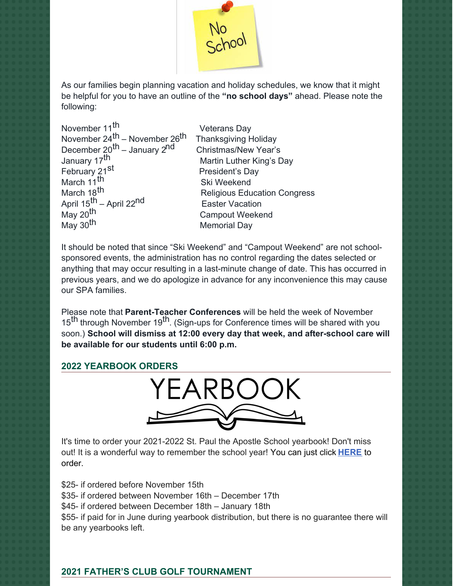

As our families begin planning vacation and holiday schedules, we know that it might be helpful for you to have an outline of the **"no school days"** ahead. Please note the following:

| November 11 <sup>th</sup>                             | Vetera  |
|-------------------------------------------------------|---------|
| November 24 <sup>th</sup> – November 26 <sup>th</sup> | Thanks  |
| December 20 <sup>th</sup> – January 2 <sup>nd</sup>   | Christn |
| January 17 <sup>th</sup>                              | Martin  |
| February 21 <sup>st</sup>                             | Presid  |
| March 11 <sup>th</sup>                                | Ski W   |
| March 18 <sup>th</sup>                                | Religi  |
| April 15 <sup>th</sup> - April 22 <sup>nd</sup>       | Easte   |
| May 20 <sup>th</sup>                                  | Camp    |
| May 30 <sup>th</sup>                                  | Memo    |
|                                                       |         |

ans Day sgiving Holiday nas/New Year's Luther King's Day lent's Day 'eekend ous Education Congress r Vacation out Weekend rial Dav

It should be noted that since "Ski Weekend" and "Campout Weekend" are not schoolsponsored events, the administration has no control regarding the dates selected or anything that may occur resulting in a last-minute change of date. This has occurred in previous years, and we do apologize in advance for any inconvenience this may cause our SPA families.

Please note that **Parent-Teacher Conferences** will be held the week of November 15<sup>th</sup> through November 19<sup>th</sup>. (Sign-ups for Conference times will be shared with you soon.) **School will dismiss at 12:00 every day that week, and after-school care will be available for our students until 6:00 p.m.**

## **2022 YEARBOOK ORDERS**



It's time to order your 2021-2022 St. Paul the Apostle School yearbook! Don't miss out! It is a wonderful way to remember the school year! You can just click **[HERE](https://www.prestoregister.com/cgi-bin/order.pl?ref=spapostle_school&fm=3)** to order.

\$25- if ordered before November 15th \$35- if ordered between November 16th – December 17th \$45- if ordered between December 18th – January 18th \$55- if paid for in June during yearbook distribution, but there is no guarantee there will be any yearbooks left.

# **2021 FATHER'S CLUB GOLF TOURNAMENT**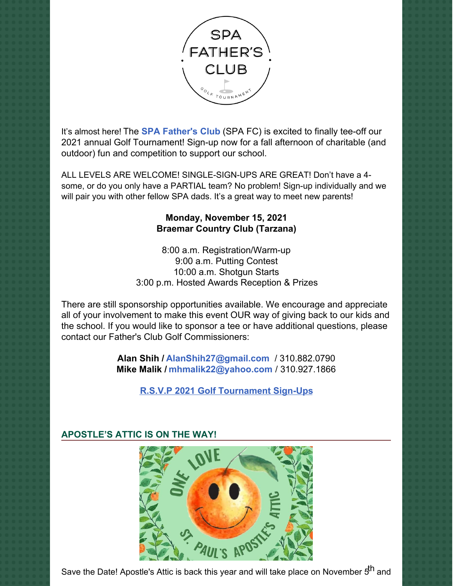

It's almost here! The **SPA [Father's](https://www.spadad.org/) Club** (SPA FC) is excited to finally tee-off our 2021 annual Golf Tournament! Sign-up now for a fall afternoon of charitable (and outdoor) fun and competition to support our school.

ALL LEVELS ARE WELCOME! SINGLE-SIGN-UPS ARE GREAT! Don't have a 4 some, or do you only have a PARTIAL team? No problem! Sign-up individually and we will pair you with other fellow SPA dads. It's a great way to meet new parents!

# **Monday, November 15, 2021 Braemar Country Club (Tarzana)**

8:00 a.m. Registration/Warm-up 9:00 a.m. Putting Contest 10:00 a.m. Shotgun Starts 3:00 p.m. Hosted Awards Reception & Prizes

There are still sponsorship opportunities available. We encourage and appreciate all of your involvement to make this event OUR way of giving back to our kids and the school. If you would like to sponsor a tee or have additional questions, please contact our Father's Club Golf Commissioners:

> **Alan Shih / [AlanShih27@gmail.com](mailto:AlanShih27@gmail.com)** / 310.882.0790 **Mike Malik / [mhmalik22@yahoo.com](mailto:mhmalik22@yahoo.com)** / 310.927.1866

> > **R.S.V.P 2021 Golf [Tournament](https://r20.rs6.net/tn.jsp?f=001M1AGpkBu-9iqvx1s2fs--CQy64vYLrB-3epjAP0fsp0O4O2rs5O9vlCZigk-CHAllmdPWe8jwRMa-MROUAjnpdqOPUxGnfIeKUoFJSnO4ED0wFLb6Vq_0zOH3n0wrB4srCW6B2ddt1n87BaWjTs6JL3KEcpPqVHrgA44krAAd16_NnLSvvadd_d1We2t7RVn17WMKY5UtKmmKIxk5MCkMw==&c=yvB6cQ4Qh7BMJuZ_tXM778lw_fKzn_Ai-aoDp21REAoyTX4rTfCmww==&ch=gcAYQ67QZ-BIVFNhxOZswbT5zlbd3umjVxJqXd4DqoefFRMIVAXVCw==) Sign-Ups**



# **APOSTLE'S ATTIC IS ON THE WAY!**

Save the Date! Apostle's Attic is back this year and will take place on November 5<sup>th</sup> and